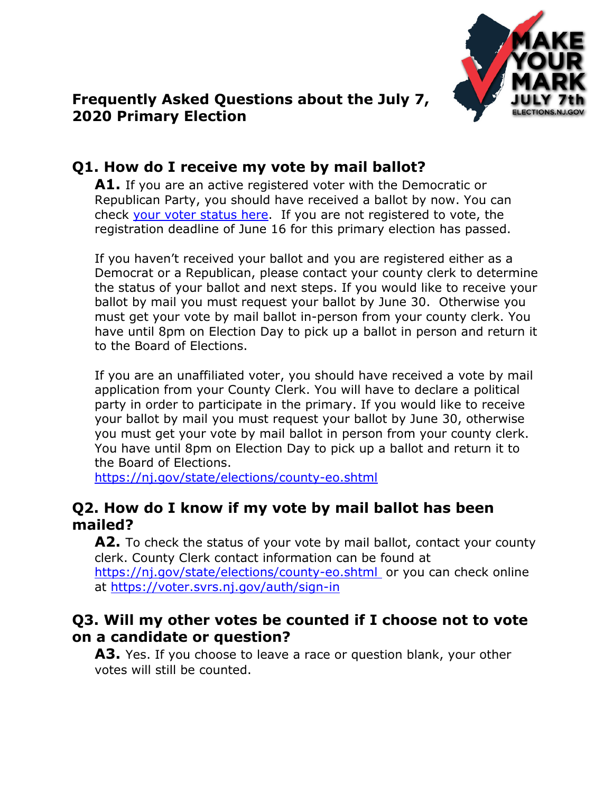

### **Frequently Asked Questions about the July 7, 2020 Primary Election**

# **Q1. How do I receive my vote by mail ballot?**

**A1.** If you are an active registered voter with the Democratic or Republican Party, you should have received a ballot by now. You can check [your voter status here.](https://voter.svrs.nj.gov/registration-check) If you are not registered to vote, the registration deadline of June 16 for this primary election has passed.

If you haven't received your ballot and you are registered either as a Democrat or a Republican, please contact your county clerk to determine the status of your ballot and next steps. If you would like to receive your ballot by mail you must request your ballot by June 30. Otherwise you must get your vote by mail ballot in-person from your county clerk. You have until 8pm on Election Day to pick up a ballot in person and return it to the Board of Elections.

If you are an unaffiliated voter, you should have received a vote by mail application from your County Clerk. You will have to declare a political party in order to participate in the primary. If you would like to receive your ballot by mail you must request your ballot by June 30, otherwise you must get your vote by mail ballot in person from your county clerk. You have until 8pm on Election Day to pick up a ballot and return it to the Board of Elections.

<https://nj.gov/state/elections/county-eo.shtml>

### **Q2. How do I know if my vote by mail ballot has been mailed?**

A2. To check the status of your vote by mail ballot, contact your county clerk. County Clerk contact information can be found at <https://nj.gov/state/elections/county-eo.shtml> or you can check online

at<https://voter.svrs.nj.gov/auth/sign-in>

### **Q3. Will my other votes be counted if I choose not to vote on a candidate or question?**

**A3.** Yes. If you choose to leave a race or question blank, your other votes will still be counted.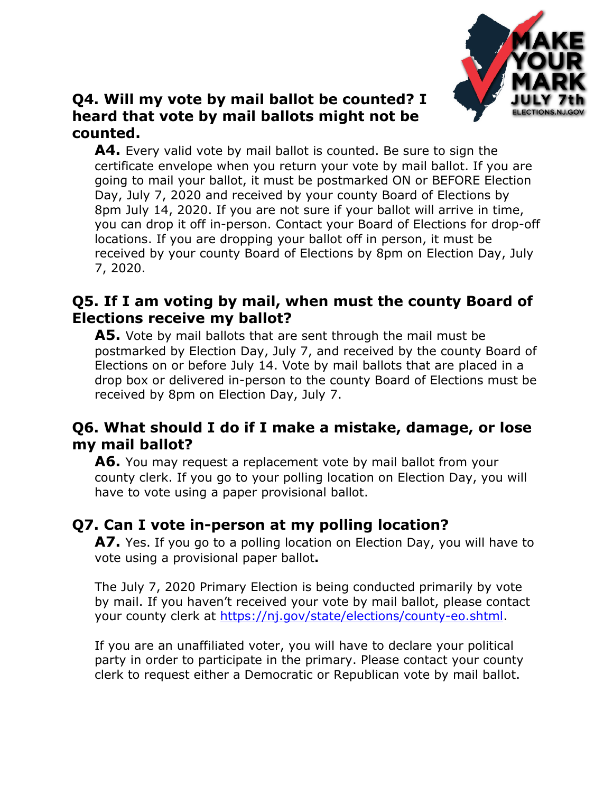

### **Q4. Will my vote by mail ballot be counted? I heard that vote by mail ballots might not be counted.**

**A4.** Every valid vote by mail ballot is counted. Be sure to sign the certificate envelope when you return your vote by mail ballot. If you are going to mail your ballot, it must be postmarked ON or BEFORE Election Day, July 7, 2020 and received by your county Board of Elections by 8pm July 14, 2020. If you are not sure if your ballot will arrive in time, you can drop it off in-person. Contact your Board of Elections for drop-off locations. If you are dropping your ballot off in person, it must be received by your county Board of Elections by 8pm on Election Day, July 7, 2020.

### **Q5. If I am voting by mail, when must the county Board of Elections receive my ballot?**

**A5.** Vote by mail ballots that are sent through the mail must be postmarked by Election Day, July 7, and received by the county Board of Elections on or before July 14. Vote by mail ballots that are placed in a drop box or delivered in-person to the county Board of Elections must be received by 8pm on Election Day, July 7.

### **Q6. What should I do if I make a mistake, damage, or lose my mail ballot?**

**A6.** You may request a replacement vote by mail ballot from your county clerk. If you go to your polling location on Election Day, you will have to vote using a paper provisional ballot.

## **Q7. Can I vote in-person at my polling location?**

**A7.** Yes. If you go to a polling location on Election Day, you will have to vote using a provisional paper ballot**.** 

The July 7, 2020 Primary Election is being conducted primarily by vote by mail. If you haven't received your vote by mail ballot, please contact your county clerk at [https://nj.gov/state/elections/county-eo.shtml.](https://nj.gov/state/elections/county-eo.shtml)

If you are an unaffiliated voter, you will have to declare your political party in order to participate in the primary. Please contact your county clerk to request either a Democratic or Republican vote by mail ballot.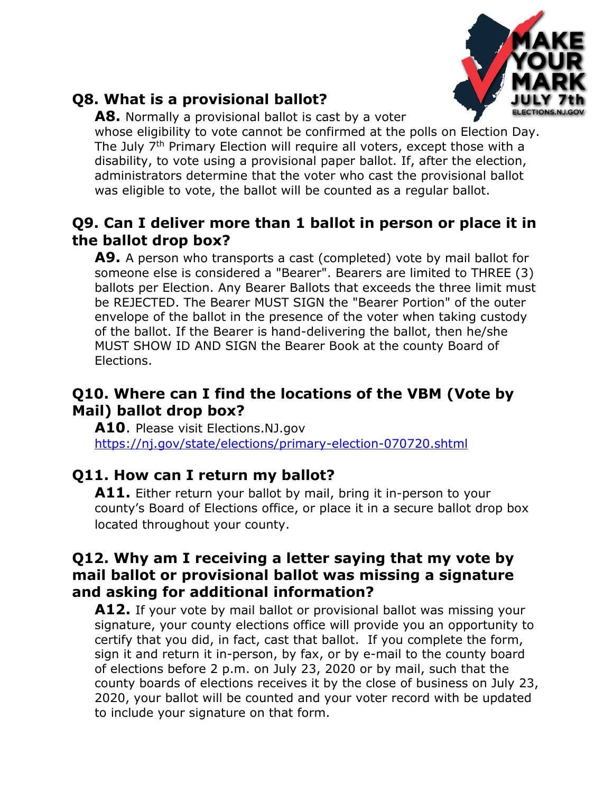

# **Q8. What is a provisional ballot?**

**A8.** Normally a provisional ballot is cast by a voter whose eligibility to vote cannot be confirmed at the polls on Election Day. The July 7<sup>th</sup> Primary Election will require all voters, except those with a disability, to vote using a provisional paper ballot. If, after the election, administrators determine that the voter who cast the provisional ballot was eligible to vote, the ballot will be counted as a regular ballot.

## **Q9. Can I deliver more than 1 ballot in person or place it in the ballot drop box?**

**A9.** A person who transports a cast (completed) vote by mail ballot for someone else is considered a "Bearer". Bearers are limited to THREE (3) ballots per Election. Any Bearer Ballots that exceeds the three limit must be REJECTED. The Bearer MUST SIGN the "Bearer Portion" of the outer envelope of the ballot in the presence of the voter when taking custody of the ballot. If the Bearer is hand-delivering the ballot, then he/she MUST SHOW ID AND SIGN the Bearer Book at the county Board of Elections.

### **Q10. Where can I find the locations of the VBM (Vote by Mail) ballot drop box?**

**A10**. Please visit Elections.NJ.gov <https://nj.gov/state/elections/primary-election-070720.shtml>

## **Q11. How can I return my ballot?**

**A11.** Either return your ballot by mail, bring it in-person to your county's Board of Elections office, or place it in a secure ballot drop box located throughout your county.

### **Q12. Why am I receiving a letter saying that my vote by mail ballot or provisional ballot was missing a signature and asking for additional information?**

**A12.** If your vote by mail ballot or provisional ballot was missing your signature, your county elections office will provide you an opportunity to certify that you did, in fact, cast that ballot. If you complete the form, sign it and return it in-person, by fax, or by e-mail to the county board of elections before 2 p.m. on July 23, 2020 or by mail, such that the county boards of elections receives it by the close of business on July 23, 2020, your ballot will be counted and your voter record with be updated to include your signature on that form.